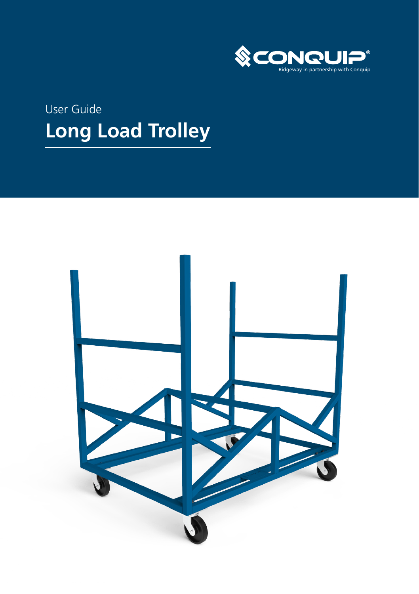

# User Guide **Long Load Trolley**

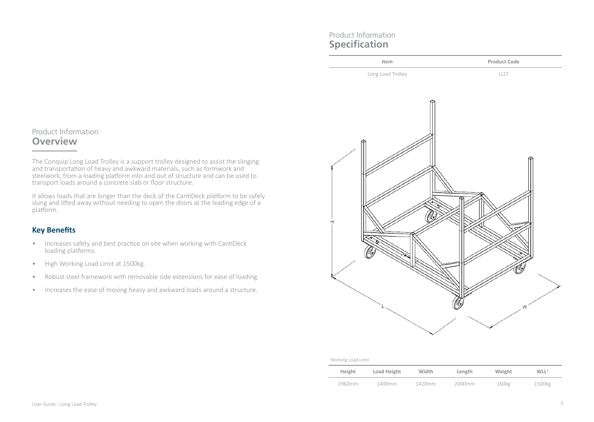# Product Information **Specification**



# Product Information **Overview**

The Conquip Long Load Trolley is a support trolley designed to assist the slinging and transportation of heavy and awkward materials, such as formwork and steelwork, from a loading platform into and out of structure and can be used to transport loads around a concrete slab or floor structure.

It allows loads that are longer than the deck of the CantiDeck platform to be safely slung and lifted away without needing to open the doors at the leading edge of a platform.

# **Key Benefits**

- Increases safety and best practice on site when working with CantiDeck loading platforms.
- High Working Load Limit at 1500kg.
- Robust steel framework with removable side extensions for ease of loading.
- Increases the ease of moving heavy and awkward loads around a structure.

| <sup>1</sup> Working Load Limit |  |
|---------------------------------|--|
|                                 |  |

| Height | Load Height | Width  | Length | Weight            | WLL <sup>1</sup> |
|--------|-------------|--------|--------|-------------------|------------------|
| 1960mm | 1400mm      | 1420mm | 2000mm | 160 <sub>kg</sub> | 1500kg           |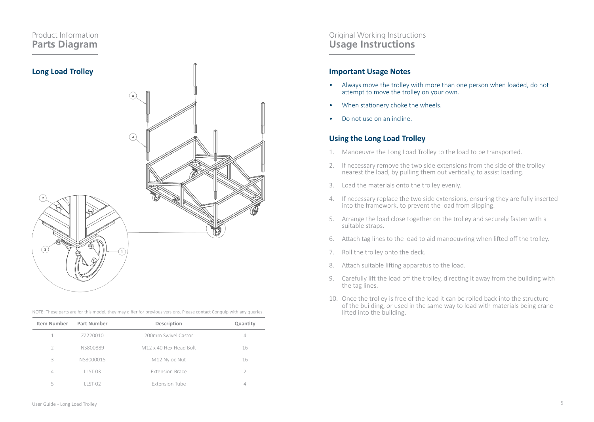## Product Information **Parts Diagram**



|  |  |  | NOTE: These parts are for this model, they may differ for previous versions. Please contact Conquip with any queries,<br>,我们也不能会在这里的事情,我们也不能会在这里的事情,我们也不能会在这里的事情。""我们,我们也不能会在这里的事情,我们也不能会在这里的事情,我们也不能会在这里 |
|--|--|--|-----------------------------------------------------------------------------------------------------------------------------------------------------------------------------------------------------------|
|--|--|--|-----------------------------------------------------------------------------------------------------------------------------------------------------------------------------------------------------------|

| Item Number | Part Number    | Description            | Quantity |
|-------------|----------------|------------------------|----------|
|             | 77220010       | 200mm Swivel Castor    | 4        |
| 2           | NS800889       | M12 x 40 Hex Head Bolt | 16       |
| 3           | NS8000015      | M12 Nyloc Nut          | 16       |
| 4           | $I$ ST-03      | <b>Extension Brace</b> |          |
| 5           | <b>LLST-02</b> | <b>Extension Tube</b>  |          |

### Original Working Instructions **Usage Instructions**

### **Important Usage Notes**

- Always move the trolley with more than one person when loaded, do not attempt to move the trolley on your own.
- When stationery choke the wheels.
- Do not use on an incline.

### **Using the Long Load Trolley**

- 1. Manoeuvre the Long Load Trolley to the load to be transported.
- 2. If necessary remove the two side extensions from the side of the trolley nearest the load, by pulling them out vertically, to assist loading.
- 3. Load the materials onto the trolley evenly.
- 4. If necessary replace the two side extensions, ensuring they are fully inserted into the framework, to prevent the load from slipping.
- 5. Arrange the load close together on the trolley and securely fasten with a suitable straps.
- 6. Attach tag lines to the load to aid manoeuvring when lifted off the trolley.
- 7. Roll the trolley onto the deck.
- 8. Attach suitable lifting apparatus to the load.
- 9. Carefully lift the load off the trolley, directing it away from the building with the tag lines.
- 10. Once the trolley is free of the load it can be rolled back into the structure of the building, or used in the same way to load with materials being crane lifted into the building.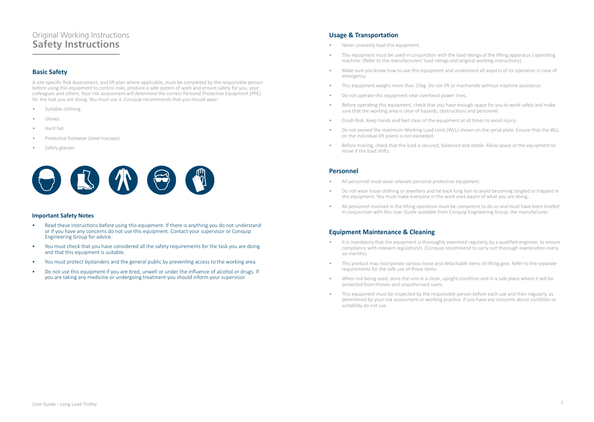# Original Working Instructions **Safety Instructions**

### **Basic Safety**

A site-specific Risk Assessment, and lift plan where applicable, must be completed by the responsible person before using this equipment to control risks, produce a safe system of work and ensure safety for you, your colleagues and others. Your risk assessment will determine the correct Personal Protective Equipment (PPE) for the task you are doing. You must use it. Conquip recommends that you should wear:

- Suitable clothing
- Gloves
- Hard hat
- Protective footwear (steel toecaps)
- Safety glasses



#### **Important Safety Notes**

- Read these instructions before using this equipment. If there is anything you do not understand or if you have any concerns do not use this equipment. Contact your supervisor or Conquip Engineering Group for advice.
- You must check that you have considered all the safety requirements for the task you are doing and that this equipment is suitable.
- You must protect bystanders and the general public by preventing access to the working area.
- Do not use this equipment if you are tired, unwell or under the influence of alcohol or drugs. If you are taking any medicine or undergoing treatment you should inform your supervisor.

### **Usage & Transportation**

- Never unevenly load this equipment.
- This equipment must be used in conjunction with the load ratings of the lifting apparatus / operating machine. (Refer to the manufacturers' load ratings and original working instructions).
- Make sure you know how to use this equipment and understand all aspects of its operation in case of emergency.
- This equipment weighs more than 25kg. Do not lift or manhandle without machine assistance.
- Do not operate this equipment near overhead power lines.
- Before operating this equipment, check that you have enough space for you to work safely and make sure that the working area is clear of hazards, obstructions and personnel.
- Crush Risk. Keep hands and feet clear of the equipment at all times to avoid injury.
- Do not exceed the maximum Working Load Limit (WLL) shown on the serial plate. Ensure that the WLL on the individual lift points is not exceeded.
- Before moving, check that the load is secured, balanced and stable. Allow space or the equipment to move if the load shifts.

#### **Personnel**

- All personnel must wear relevant personal protective equipment.
- Do not wear loose clothing or jewellery and tie back long hair to avoid becoming tangled or trapped in this equipment. You must make everyone in the work area aware of what you are doing.
- All personnel involved in the lifting operation must be competent to do so and must have been briefed in conjunction with this User Guide available from Conquip Engineering Group, the manufacturer.

### **Equipment Maintenance & Cleaning**

- It is mandatory that the equipment is thoroughly examined regularly, by a qualified engineer, to ensure compliance with relevant regulation/s. (Conquip recommend to carry out thorough examination every six months).
- This product may incorporate various loose and detachable items of lifting gear. Refer to the separate requirements for the safe use of those items.
- When not being used, store the unit in a clean, upright condition and in a safe place where it will be protected from thieves and unauthorised users.
- This equipment must be inspected by the responsible person before each use and then regularly, as determined by your risk assessment or working practice. If you have any concerns about condition or suitability do not use.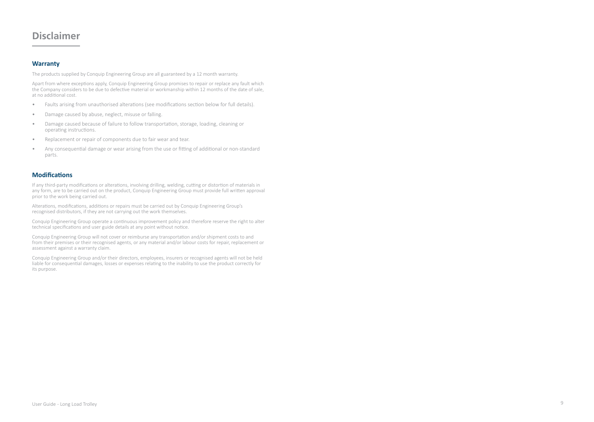# **Disclaimer**

### **Warranty**

The products supplied by Conquip Engineering Group are all guaranteed by a 12 month warranty.

Apart from where exceptions apply, Conquip Engineering Group promises to repair or replace any fault which the Company considers to be due to defective material or workmanship within 12 months of the date of sale, at no additional cost.

- Faults arising from unauthorised alterations (see modifications section below for full details).
- Damage caused by abuse, neglect, misuse or falling.
- Damage caused because of failure to follow transportation, storage, loading, cleaning or operating instructions.
- Replacement or repair of components due to fair wear and tear.
- Any consequential damage or wear arising from the use or fitting of additional or non-standard parts.

#### **Modifications**

If any third-party modifications or alterations, involving drilling, welding, cutting or distortion of materials in any form, are to be carried out on the product, Conquip Engineering Group must provide full written approval prior to the work being carried out.

Alterations, modifications, additions or repairs must be carried out by Conquip Engineering Group's recognised distributors, if they are not carrying out the work themselves.

Conquip Engineering Group operate a continuous improvement policy and therefore reserve the right to alter technical specifications and user guide details at any point without notice.

Conquip Engineering Group will not cover or reimburse any transportation and/or shipment costs to and from their premises or their recognised agents, or any material and/or labour costs for repair, replacement or assessment against a warranty claim.

Conquip Engineering Group and/or their directors, employees, insurers or recognised agents will not be held liable for consequential damages, losses or expenses relating to the inability to use the product correctly for its purpose.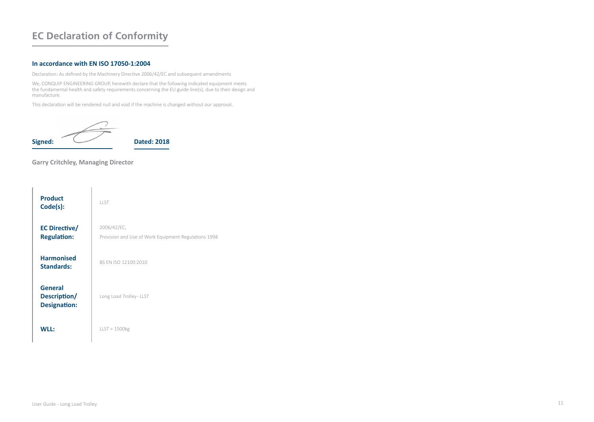# **EC Declaration of Conformity**

#### **In accordance with EN ISO 17050-1:2004**

Declaration: As defined by the Machinery Directive 2006/42/EC and subsequent amendments

We, CONQUIP ENGINEERING GROUP, herewith declare that the following indicated equipment meets the fundamental health and safety requirements concerning the EU guide line(s), due to their design and manufacture.

This declaration will be rendered null and void if the machine is changed without our approval.

$$
Signed: \overbrace{\hspace{1.5cm}} \qquad \qquad \text{Dated: } 2018
$$

### **Garry Critchley, Managing Director**

| <b>Product</b><br>Code(s):                     | <b>IIST</b>                                                         |
|------------------------------------------------|---------------------------------------------------------------------|
| <b>EC Directive/</b><br><b>Regulation:</b>     | 2006/42/EC,<br>Provision and Use of Work Equipment Regulations 1998 |
| <b>Harmonised</b><br><b>Standards:</b>         | BS FN ISO 12100:2010                                                |
| General<br>Description/<br><b>Designation:</b> | Long Load Trolley - LLST                                            |
| w⊪∙                                            | $LLST = 1500kg$                                                     |